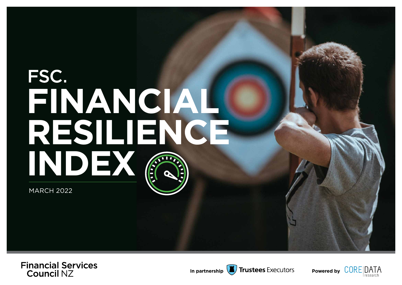# FSC. **FINANCIAL RESILIENCE INDEX**

MARCH 2022





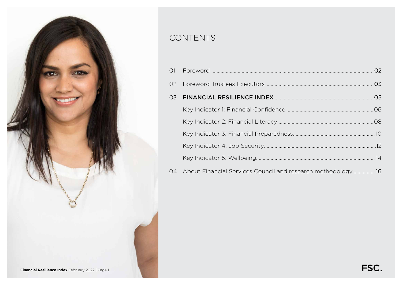

### **CONTENTS**

| 03 <sup>7</sup> |                                                                 |  |
|-----------------|-----------------------------------------------------------------|--|
|                 |                                                                 |  |
|                 |                                                                 |  |
|                 |                                                                 |  |
|                 |                                                                 |  |
|                 |                                                                 |  |
|                 | 04 About Financial Services Council and research methodology 16 |  |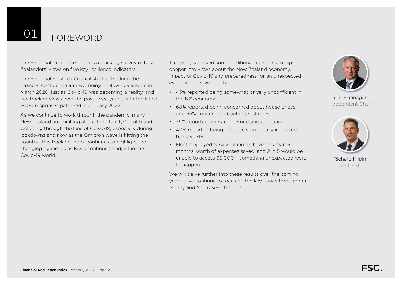### 01 FOREWORD

The Financial Resilience Index is a tracking survey of New Zealanders' views on five key resilience indicators.

The Financial Services Council started tracking the financial confidence and wellbeing of New Zealanders in March 2020, just as Covid-19 was becoming a reality, and has tracked views over the past three years, with the latest 2000 responses gathered in January 2022.

As we continue to work through the pandemic, many in New Zealand are thinking about their familys' health and wellbeing through the lens of Covid-19, especially during lockdowns and now as the Omicron wave is hitting the country. This tracking index continues to highlight the changing dynamics as Kiwis continue to adjust in the Covid-19 world.

This year, we asked some additional questions to dig deeper into views about the New Zealand economy, impact of Covid-19 and preparedness for an unexpected event, which revealed that:

- 43% reported being somewhat or very unconfident in the NZ economy.
- 68% reported being concerned about house prices and 65% concerned about interest rates.
- 79% reported being concerned about inflation.
- 40% reported being negatively financially impacted by Covid-19.
- Most employed New Zealanders have less than 6 months' worth of expenses saved, and 2 in 5 would be unable to access \$5,000 if something unexpected were to happen.

We will delve further into these results over the coming year as we continue to focus on the key issues through our Money and You research series.



Rob Flannagan Independent Chair



CEO, FSC Richard Klipin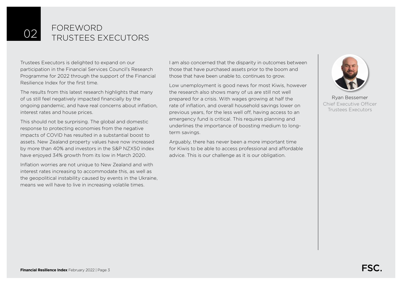## 02 FOREWORD TRUSTEES EXECUTORS

Trustees Executors is delighted to expand on our participation in the Financial Services Council's Research Programme for 2022 through the support of the Financial Resilience Index for the first time.

The results from this latest research highlights that many of us still feel negatively impacted financially by the ongoing pandemic, and have real concerns about inflation, interest rates and house prices.

This should not be surprising. The global and domestic response to protecting economies from the negative impacts of COVID has resulted in a substantial boost to assets. New Zealand property values have now increased by more than 40% and investors in the S&P NZX50 index have enjoyed 34% growth from its low in March 2020.

Inflation worries are not unique to New Zealand and with interest rates increasing to accommodate this, as well as the geopolitical instability caused by events in the Ukraine, means we will have to live in increasing volatile times.

I am also concerned that the disparity in outcomes between those that have purchased assets prior to the boom and those that have been unable to, continues to grow.

Low unemployment is good news for most Kiwis, however the research also shows many of us are still not well prepared for a crisis. With wages growing at half the rate of inflation, and overall household savings lower on previous years, for the less well off, having access to an emergency fund is critical. This requires planning and underlines the importance of boosting medium to longterm savings.

Arguably, there has never been a more important time for Kiwis to be able to access professional and affordable advice. This is our challenge as it is our obligation.



Ryan Bessemer Chief Executive Officer Trustees Executors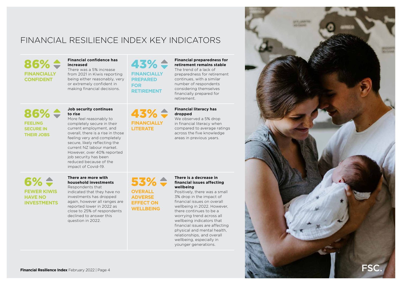### FINANCIAL RESILIENCE INDEX KEY INDICATORS

### 86% **FINANCIALLY CONFIDENT**

86%

**FEELING SECURE IN THEIR JOBS**

#### **Financial confidence has increased**

**Job security continues** 

More feel reasonably to completely secure in their current employment, and overall, there is a rise in those feeling very and completely secure, likely reflecting the current NZ labour market. However, over 40% reported job security has been reduced because of the impact of Covid-19.

**to rise**

There was a 5% increase from 2021 in Kiwis reporting being either reasonably, very or extremely confident in making financial decisions.

 $43% -$ **FINANCIALLY PREPARED FOR RETIREMENT**

#### **Financial preparedness for retirement remains stable**

The trend of a lack of preparedness for retirement continues, with a similar number of respondents considering themselves financially prepared for retirement.

#### 43% **Financial literacy has dropped**

#### **FINANCIALLY LITERATE**

53%

**OVERALL** 

We observed a 5% drop in financial literacy when compared to average ratings across the five knowledge areas in previous years.

#### $6% \div$ **FEWER KIWIS HAVE NO INVESTMENTS**

#### **There are more with household investments** Respondents that indicated that they have no investments has dropped

declined to answer this question in 2022.

again, however all ranges are reported lower in 2022 as close to 25% of respondents **ADVERSE EFFECT ON WELLBEING**

#### **There is a decrease in financial issues affecting wellbeing**

Positively, there was a small 3% drop in the impact of financial issues on overall wellbeing in 2022. However, there continues to be a worrying trend across all wellbeing indicators that financial issues are affecting physical and mental health, relationships, and overall wellbeing, especially in younger generations.

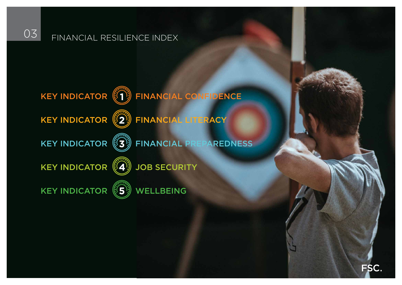

### 03 **FINANCIAL RESILIENCE INDEX**





KEY INDICATOR  $\left(\!\!\left(\!\!\left(1\right) \!\!\right) \!\!\right]$  FINANCIAL CONFIDENCE



**KEY INDICATOR**  $\left(\!\!\left(\!\!\left( \mathbf{2}\right) \!\!\right)\!\!\right)$  **FINANCIAL LITERACY** 



KEY INDICATOR  $\left(\!\!\left(\mathbf{3}\right)\!\!\right]$  FINANCIAL PREPAREDNESS

**KEY INDICATOR**  $(\sqrt[\mathbf{4}\ \mathbf{)}$  **JOB SECURITY** 



**KEY INDICATOR**  $(\sqrt[6]{5})$  **WELLBEING** 



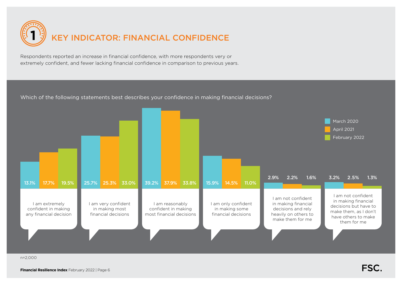

Respondents reported an increase in financial confidence, with more respondents very or extremely confident, and fewer lacking financial confidence in comparison to previous years.

Which of the following statements best describes your confidence in making financial decisions?



n=2,000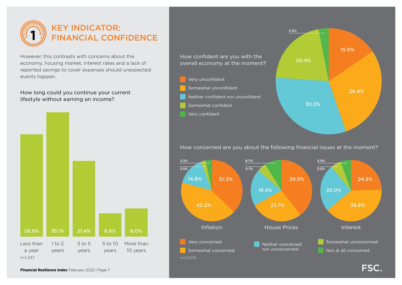

However, this contrasts with concerns about the economy, housing market, interest rates and a lack of reported savings to cover expenses should unexpected events happen.

How long could you continue your current lifestyle without earning an income?





How concerned are you about the following financial issues at the moment?

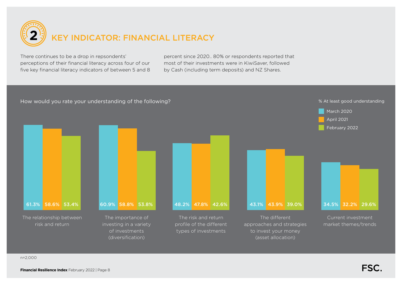

### KEY INDICATOR: FINANCIAL LITERACY

There continues to be a drop in repsondents' perceptions of their financial literacy across four of our five key financial literacy indicators of between 5 and 8 percent since 2020.. 80% or respondents reported that most of their investments were in KiwiSaver, followed by Cash (including term deposits) and NZ Shares.

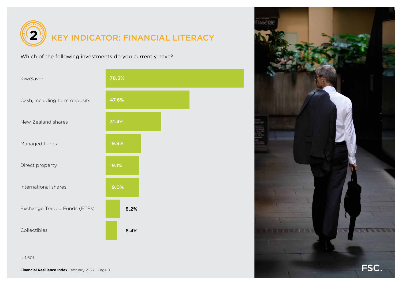

Which of the following investments do you currently have?

| KiwiSaver                     | 78.3% |  |
|-------------------------------|-------|--|
| Cash, including term deposits | 47.6% |  |
| New Zealand shares            | 31.4% |  |
| Managed funds                 | 19.9% |  |
| Direct property               | 19.1% |  |
| International shares          | 19.0% |  |
| Exchange Traded Funds (ETFs)  | 8.2%  |  |
| Collectibles                  | 6.4%  |  |
| $n=1,601$                     |       |  |

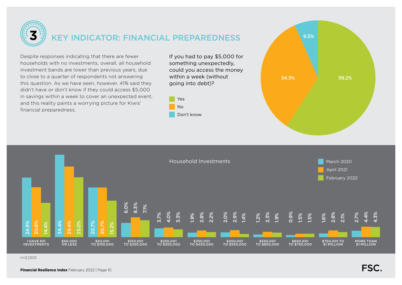

### KEY INDICATOR: FINANCIAL PREPAREDNESS

Despite responses indicating that there are fewer households with no investments, overall, all household investment bands are lower than previous years, due to close to a quarter of respondents not answering this question. As we have seen, however, 41% said they didn't have or don't know if they could access \$5,000 in savings within a week to cover an unexpected event, and this reality paints a worrying picture for Kiwis' financial preparedness.

If you had to pay \$5,000 for something unexpectedly, could you access the money within a week (without going into debt)?







 $n=2,000$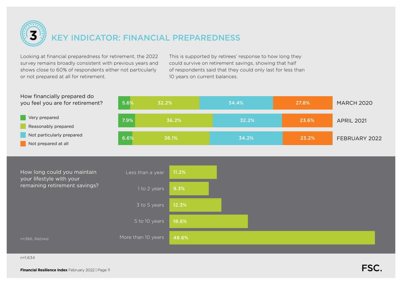

### **3** W KEY INDICATOR: FINANCIAL PREPAREDNESS

Looking at financial preparedness for retirement, the 2022 survey remains broadly consistent with previous years and shows close to 60% of respondents either not particularly or not prepared at all for retirement.

This is supported by retirees' response to how long they could survive on retirement savings, showing that half of respondents said that they could only last for less than 10 years on current balances.



48.6%

More than 10 years n=366, Retired

n=1,634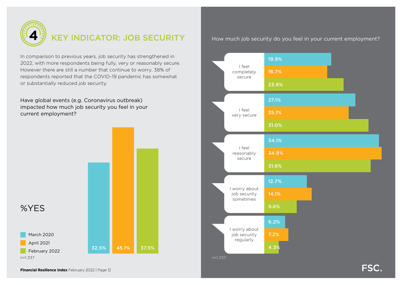

### KEY INDICATOR: JOB SECURITY

In comparison to previous years, job security has strengthened in 2022, with more respondents being fully, very or reasonably secure. However there are still a number that continue to worry. 38% of respondents reported that the COVID-19 pandemic has somewhat or substantially reduced job security.

Have global events (e.g. Coronavirus outbreak) impacted how much job security you feel in your current employment?



#### How much job security do you feel in your current employment?

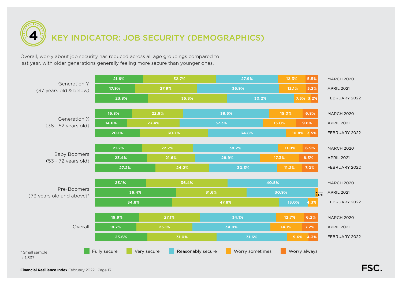

### KEY INDICATOR: JOB SECURITY (DEMOGRAPHICS)

Overall, worry about job security has reduced across all age groupings compared to last year, with older generations generally feeling more secure than younger ones.

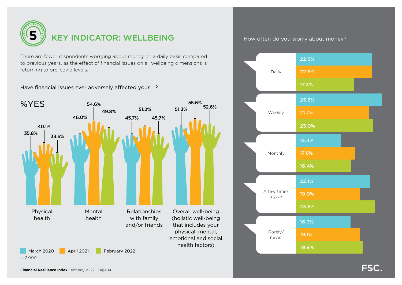

### KEY INDICATOR: WELLBEING

There are fewer respondents worrying about money on a daily basis compared to previous years, as the effect of financial issues on all wellbeing dimensions is returning to pre-covid levels.

Have financial issues ever adversely affected your …?



How often do you worry about money?

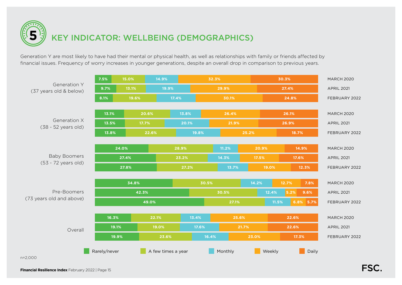

### KEY INDICATOR: WELLBEING (DEMOGRAPHICS)

Generation Y are most likely to have had their mental or physical health, as well as relationships with family or friends affected by financial issues. Frequency of worry increases in younger generations, despite an overall drop in comparison to previous years.



n=2,000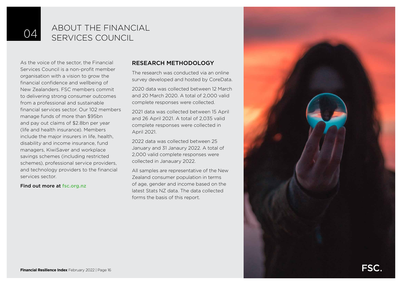### 04 ABOUT THE FINANCIAL SERVICES COUNCIL

As the voice of the sector, the Financial Services Council is a non-profit member organisation with a vision to grow the financial confidence and wellbeing of New Zealanders. FSC members commit to delivering strong consumer outcomes from a professional and sustainable financial services sector. Our 102 members manage funds of more than \$95bn and pay out claims of \$2.8bn per year (life and health insurance). Members include the major insurers in life, health, disability and income insurance, fund managers, KiwiSaver and workplace savings schemes (including restricted schemes), professional service providers, and technology providers to the financial services sector.

#### Find out more at fsc.org.nz

#### RESEARCH METHODOLOGY

The research was conducted via an online survey developed and hosted by CoreData.

2020 data was collected between 12 March and 20 March 2020. A total of 2,000 valid complete responses were collected.

2021 data was collected between 15 April and 26 April 2021. A total of 2,035 valid complete responses were collected in April 2021.

2022 data was collected between 25 January and 31 Janaury 2022. A total of 2,000 valid complete responses were collected in Janauary 2022.

All samples are representative of the New Zealand consumer population in terms of age, gender and income based on the latest Stats NZ data. The data collected forms the basis of this report.